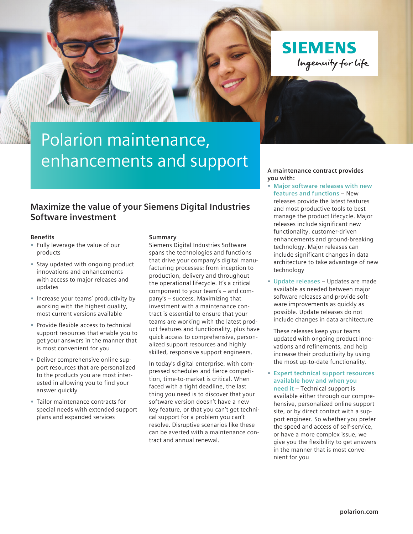

# Polarion maintenance, enhancements and support

### **Maximize the value of your Siemens Digital Industries Software investment**

#### **Benefits**

- **•** Fully leverage the value of our products
- **•** Stay updated with ongoing product innovations and enhancements with access to major releases and updates
- **•** Increase your teams' productivity by working with the highest quality, most current versions available
- **•** Provide flexible access to technical support resources that enable you to get your answers in the manner that is most convenient for you
- **•** Deliver comprehensive online support resources that are personalized to the products you are most interested in allowing you to find your answer quickly
- **•** Tailor maintenance contracts for special needs with extended support plans and expanded services

#### **Summary**

Siemens Digital Industries Software spans the technologies and functions that drive your company's digital manufacturing processes: from inception to production, delivery and throughout the operational lifecycle. It's a critical component to your team's – and company's – success. Maximizing that investment with a maintenance contract is essential to ensure that your teams are working with the latest product features and functionality, plus have quick access to comprehensive, personalized support resources and highly skilled, responsive support engineers.

In today's digital enterprise, with compressed schedules and fierce competition, time-to-market is critical. When faced with a tight deadline, the last thing you need is to discover that your software version doesn't have a new key feature, or that you can't get technical support for a problem you can't resolve. Disruptive scenarios like these can be averted with a maintenance contract and annual renewal.

**A maintenance contract provides you with:**

- **• Major software releases with new features and functions** – New releases provide the latest features and most productive tools to best manage the product lifecycle. Major releases include significant new functionality, customer-driven enhancements and ground-breaking technology. Major releases can include significant changes in data architecture to take advantage of new technology
- **• Update releases** Updates are made available as needed between major software releases and provide software improvements as quickly as possible. Update releases do not include changes in data architecture

These releases keep your teams updated with ongoing product innovations and refinements, and help increase their productivity by using the most up-to-date functionality.

**• Expert technical support resources available how and when you need it** – Technical support is

available either through our comprehensive, personalized online support site, or by direct contact with a support engineer. So whether you prefer the speed and access of self-service, or have a more complex issue, we give you the flexibility to get answers in the manner that is most convenient for you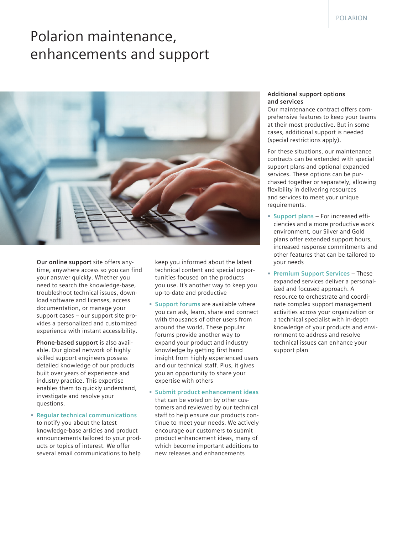## Polarion maintenance, enhancements and support



**Our online support** site offers anytime, anywhere access so you can find your answer quickly. Whether you need to search the knowledge-base, troubleshoot technical issues, download software and licenses, access documentation, or manage your support cases – our support site provides a personalized and customized experience with instant accessibility.

**Phone-based support** is also available. Our global network of highly skilled support engineers possess detailed knowledge of our products built over years of experience and industry practice. This expertise enables them to quickly understand, investigate and resolve your questions.

**• Regular technical communications** to notify you about the latest knowledge-base articles and product announcements tailored to your products or topics of interest. We offer several email communications to help

keep you informed about the latest technical content and special opportunities focused on the products you use. It's another way to keep you up-to-date and productive

- **• Support forums** are available where you can ask, learn, share and connect with thousands of other users from around the world. These popular forums provide another way to expand your product and industry knowledge by getting first hand insight from highly experienced users and our technical staff. Plus, it gives you an opportunity to share your expertise with others
- **• Submit product enhancement ideas**  that can be voted on by other customers and reviewed by our technical staff to help ensure our products continue to meet your needs. We actively encourage our customers to submit product enhancement ideas, many of which become important additions to new releases and enhancements

#### **Additional support options and services**

Our maintenance contract offers comprehensive features to keep your teams at their most productive. But in some cases, additional support is needed (special restrictions apply).

For these situations, our maintenance contracts can be extended with special support plans and optional expanded services. These options can be purchased together or separately, allowing flexibility in delivering resources and services to meet your unique requirements.

- **• Support plans** For increased efficiencies and a more productive work environment, our Silver and Gold plans offer extended support hours, increased response commitments and other features that can be tailored to your needs
- **• Premium Support Services** These expanded services deliver a personalized and focused approach. A resource to orchestrate and coordinate complex support management activities across your organization or a technical specialist with in-depth knowledge of your products and environment to address and resolve technical issues can enhance your support plan